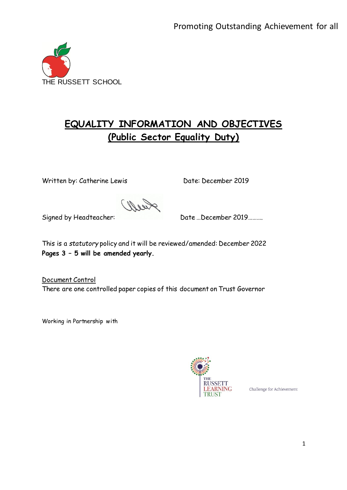

# **EQUALITY INFORMATION AND OBJECTIVES (Public Sector Equality Duty)**

Written by: Catherine Lewis Date: December 2019

Signed by Headteacher: Date ... December 2019 ..........

This is a *statutory* policy and it will be reviewed/amended: December 2022 **Pages 3 – 5 will be amended yearly.**

Document Control There are one controlled paper copies of this document on Trust Governor

Working in Partnership with



Challenge for Achievement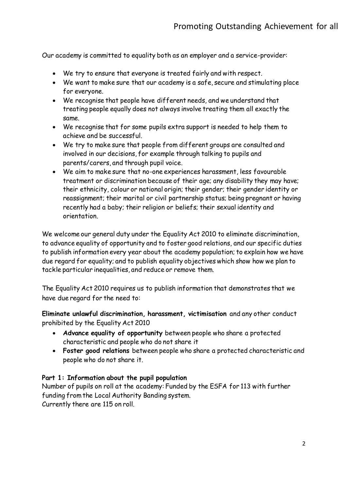Our academy is committed to equality both as an employer and a service-provider:

- We try to ensure that everyone is treated fairly and with respect.
- We want to make sure that our academy is a safe, secure and stimulating place for everyone.
- We recognise that people have different needs, and we understand that treating people equally does not always involve treating them all exactly the same.
- We recognise that for some pupils extra support is needed to help them to achieve and be successful.
- We try to make sure that people from different groups are consulted and involved in our decisions, for example through talking to pupils and parents/carers, and through pupil voice.
- We aim to make sure that no-one experiences harassment, less favourable treatment or discrimination because of their age; any disability they may have; their ethnicity, colour or national origin; their gender; their gender identity or reassignment; their marital or civil partnership status; being pregnant or having recently had a baby; their religion or beliefs; their sexual identity and orientation.

We welcome our general duty under the Equality Act 2010 to eliminate discrimination, to advance equality of opportunity and to foster good relations, and our specific duties to publish information every year about the academy population; to explain how we have due regard for equality; and to publish equality objectives which show how we plan to tackle particular inequalities, and reduce or remove them.

The Equality Act 2010 requires us to publish information that demonstrates that we have due regard for the need to:

**Eliminate unlawful discrimination, harassment, victimisation** and any other conduct prohibited by the Equality Act 2010

- **Advance equality of opportunity** between people who share a protected characteristic and people who do not share it
- **Foster good relations** between people who share a protected characteristic and people who do not share it.

## **Part 1: Information about the pupil population**

Number of pupils on roll at the academy: Funded by the ESFA for 113 with further funding from the Local Authority Banding system. Currently there are 115 on roll.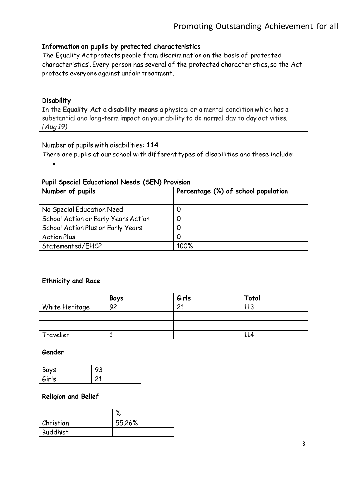### **Information on pupils by protected characteristics**

The Equality Act protects people from discrimination on the basis of 'protected characteristics'. Every person has several of the protected characteristics, so the Act protects everyone against unfair treatment.

#### **Disability**

In the **Equality Act** a **disability means** a physical or a mental condition which has a substantial and long-term impact on your ability to do normal day to day activities. *(Aug 19)*

Number of pupils with disabilities: **114**

There are pupils at our school with different types of disabilities and these include:

 $\bullet$ 

#### **Pupil Special Educational Needs (SEN) Provision**

| Number of pupils                    | Percentage (%) of school population |
|-------------------------------------|-------------------------------------|
| No Special Education Need           |                                     |
| School Action or Early Years Action |                                     |
| School Action Plus or Early Years   |                                     |
| <b>Action Plus</b>                  |                                     |
| Statemented/EHCP                    | 100%                                |

#### **Ethnicity and Race**

|                | <b>Boys</b> | Girls | Total |
|----------------|-------------|-------|-------|
| White Heritage | 92          | 21    | 113   |
|                |             |       |       |
|                |             |       |       |
| Traveller      |             |       | 114   |

#### **Gender**

| Boys  |  |
|-------|--|
| Girls |  |

#### **Religion and Belief**

|                 | $\mathbf{c}$<br>70 |
|-----------------|--------------------|
| Christian       | 55.26%             |
| <b>Buddhist</b> |                    |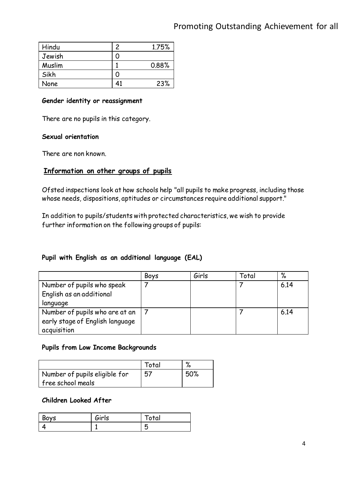| Hindu  | 2   | 1.75% |
|--------|-----|-------|
| Jewish | ( ) |       |
| Muslim |     | 0.88% |
| Sikh   | 0   |       |
| None   | 41  | 23%   |

#### **Gender identity or reassignment**

There are no pupils in this category.

#### **Sexual orientation**

There are non known.

## **Information on other groups of pupils**

Ofsted inspections look at how schools help "all pupils to make progress, including those whose needs, dispositions, aptitudes or circumstances require additional support."

In addition to pupils/students with protected characteristics, we wish to provide further information on the following groups of pupils:

## **Pupil with English as an additional language (EAL)**

|                                 | <b>Boys</b> | Girls | Total | %    |
|---------------------------------|-------------|-------|-------|------|
| Number of pupils who speak      |             |       |       | 6.14 |
| English as an additional        |             |       |       |      |
| language                        |             |       |       |      |
| Number of pupils who are at an  |             |       |       | 6.14 |
| early stage of English language |             |       |       |      |
| acquisition                     |             |       |       |      |

### **Pupils from Low Income Backgrounds**

|                               | Total | $\mathbf{o}_{I}$ |
|-------------------------------|-------|------------------|
| Number of pupils eligible for | 57    | 50%              |
| free school meals             |       |                  |

#### **Children Looked After**

| Boys | Girls | tai |
|------|-------|-----|
|      |       |     |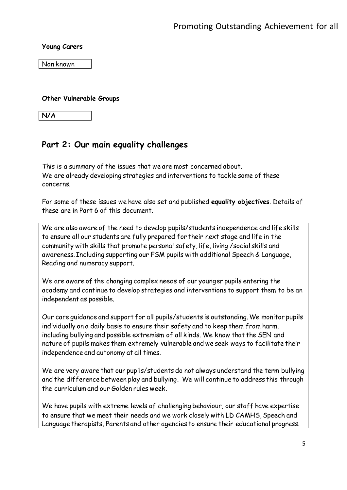#### **Young Carers**

Non known

#### **Other Vulnerable Groups**

**N/A**

## **Part 2: Our main equality challenges**

This is a summary of the issues that we are most concerned about. We are already developing strategies and interventions to tackle some of these concerns.

For some of these issues we have also set and published **equality objectives**. Details of these are in Part 6 of this document.

We are also aware of the need to develop pupils/students independence and life skills to ensure all our students are fully prepared for their next stage and life in the community with skills that promote personal safety, life, living /social skills and awareness. Including supporting our FSM pupils with additional Speech & Language, Reading and numeracy support.

We are aware of the changing complex needs of our younger pupils entering the academy and continue to develop strategies and interventions to support them to be an independent as possible.

Our care guidance and support for all pupils/students is outstanding. We monitor pupils individually on a daily basis to ensure their safety and to keep them from harm, including bullying and possible extremism of all kinds. We know that the SEN and nature of pupils makes them extremely vulnerable and we seek ways to facilitate their independence and autonomy at all times.

We are very aware that our pupils/students do not always understand the term bullying and the difference between play and bullying. We will continue to address this through the curriculum and our Golden rules week.

We have pupils with extreme levels of challenging behaviour, our staff have expertise to ensure that we meet their needs and we work closely with LD CAMHS, Speech and Language therapists, Parents and other agencies to ensure their educational progress.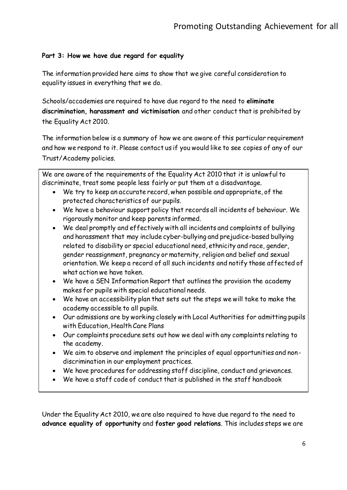## **Part 3: How we have due regard for equality**

The information provided here aims to show that we give careful consideration to equality issues in everything that we do.

Schools/accademies are required to have due regard to the need to **eliminate discrimination, harassment and victimisation** and other conduct that is prohibited by the Equality Act 2010.

The information below is a summary of how we are aware of this particular requirement and how we respond to it. Please contact us if you would like to see copies of any of our Trust/Academy policies.

We are aware of the requirements of the Equality Act 2010 that it is unlawful to discriminate, treat some people less fairly or put them at a disadvantage.

- We try to keep an accurate record, when possible and appropriate, of the protected characteristics of our pupils.
- We have a behaviour support policy that records all incidents of behaviour. We rigorously monitor and keep parents informed.
- We deal promptly and effectively with all incidents and complaints of bullying and harassment that may include cyber-bullying and prejudice-based bullying related to disability or special educational need, ethnicity and race, gender, gender reassignment, pregnancy or maternity, religion and belief and sexual orientation. We keep a record of all such incidents and notify those affected of what action we have taken.
- We have a SEN Information Report that outlines the provision the academy makes for pupils with special educational needs.
- We have an accessibility plan that sets out the steps we will take to make the academy accessible to all pupils.
- Our admissions are by working closely with Local Authorities for admitting pupils with Education, Health Care Plans
- Our complaints procedure sets out how we deal with any complaints relating to the academy.
- We aim to observe and implement the principles of equal opportunities and nondiscrimination in our employment practices.
- We have procedures for addressing staff discipline, conduct and grievances.
- We have a staff code of conduct that is published in the staff handbook

Under the Equality Act 2010, we are also required to have due regard to the need to **advance equality of opportunity** and **foster good relations**. This includes steps we are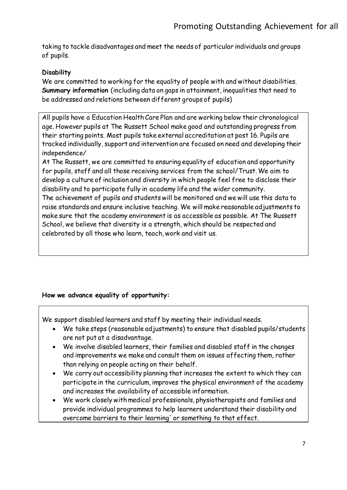taking to tackle disadvantages and meet the needs of particular individuals and groups of pupils.

## **Disability**

We are committed to working for the equality of people with and without disabilities. **Summary information** (including data on gaps in attainment, inequalities that need to be addressed and relations between different groups of pupils)

All pupils have a Education Health Care Plan and are working below their chronological age. However pupils at The Russett School make good and outstanding progress from their starting points. Most pupils take external accreditation at post 16. Pupils are tracked individually, support and intervention are focused on need and developing their independence/

At The Russett, we are committed to ensuring equality of education and opportunity for pupils, staff and all those receiving services from the school/Trust. We aim to develop a culture of inclusion and diversity in which people feel free to disclose their disability and to participate fully in academy life and the wider community.

The achievement of pupils and students will be monitored and we will use this data to raise standards and ensure inclusive teaching. We will make reasonable adjustments to make sure that the academy environment is as accessible as possible. At The Russett School, we believe that diversity is a strength, which should be respected and celebrated by all those who learn, teach, work and visit us.

## **How we advance equality of opportunity:**

We support disabled learners and staff by meeting their individual needs.

- We take steps (reasonable adjustments) to ensure that disabled pupils/students are not put at a disadvantage.
- We involve disabled learners, their families and disabled staff in the changes and improvements we make and consult them on issues affecting them, rather than relying on people acting on their behalf.
- We carry out accessibility planning that increases the extent to which they can participate in the curriculum, improves the physical environment of the academy and increases the availability of accessible information.
- We work closely with medical professionals, physiotherapists and families and provide individual programmes to help learners understand their disability and overcome barriers to their learning' or something to that effect.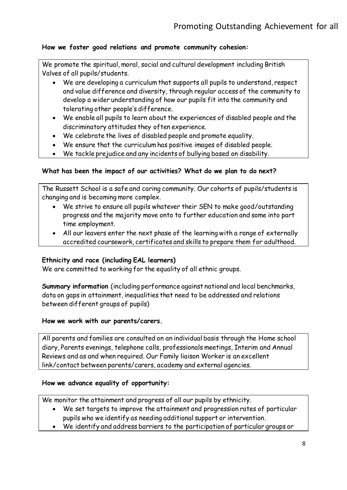## **How we foster good relations and promote community cohesion:**

We promote the spiritual, moral, social and cultural development including British Valves of all pupils/students.

- We are developing a curriculum that supports all pupils to understand, respect and value difference and diversity, through regular access of the community to develop a wider understanding of how our pupils fit into the community and tolerating other people's difference.
- We enable all pupils to learn about the experiences of disabled people and the discriminatory attitudes they often experience.
- We celebrate the lives of disabled people and promote equality.
- We ensure that the curriculum has positive images of disabled people.
- We tackle prejudice and any incidents of bullying based on disability.

## **What has been the impact of our activities? What do we plan to do next?**

The Russett School is a safe and caring community. Our cohorts of pupils/students is changing and is becoming more complex.

- We strive to ensure all pupils whatever their SEN to make good/outstanding progress and the majority move onto to further education and some into part time employment.
- All our leavers enter the next phase of the learning with a range of externally accredited coursework, certificates and skills to prepare them for adulthood.

#### **Ethnicity and race (including EAL learners)**

We are committed to working for the equality of all ethnic groups.

**Summary information** (including performance against national and local benchmarks, data on gaps in attainment, inequalities that need to be addressed and relations between different groups of pupils)

#### **How we work with our parents/carers.**

All parents and families are consulted on an individual basis through the Home school diary, Parents evenings, telephone calls, professionals meetings, Interim and Annual Reviews and as and when required. Our Family liaison Worker is an excellent link/contact between parents/carers, academy and external agencies.

#### **How we advance equality of opportunity:**

We monitor the attainment and progress of all our pupils by ethnicity.

- We set targets to improve the attainment and progression rates of particular pupils who we identify as needing additional support or intervention.
- We identify and address barriers to the participation of particular groups or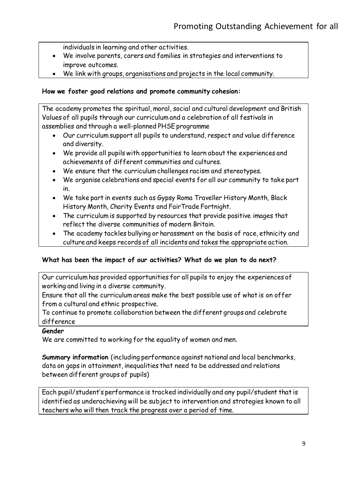individuals in learning and other activities.

- We involve parents, carers and families in strategies and interventions to improve outcomes.
- We link with groups, organisations and projects in the local community.

## **How we foster good relations and promote community cohesion:**

The academy promotes the spiritual, moral, social and cultural development and British Values of all pupils through our curriculum and a celebration of all festivals in assemblies and through a well-planned PHSE programme

- Our curriculum support all pupils to understand, respect and value difference and diversity.
- We provide all pupils with opportunities to learn about the experiences and achievements of different communities and cultures.
- We ensure that the curriculum challenges racism and stereotypes.
- We organise celebrations and special events for all our community to take part in.
- We take part in events such as Gypsy Roma Traveller History Month, Black History Month, Charity Events and FairTrade Fortnight.
- The curriculum is supported by resources that provide positive images that reflect the diverse communities of modern Britain.
- The academy tackles bullying or harassment on the basis of race, ethnicity and culture and keeps records of all incidents and takes the appropriate action.

## **What has been the impact of our activities? What do we plan to do next?**

Our curriculum has provided opportunities for all pupils to enjoy the experiences of working and living in a diverse community.

Ensure that all the curriculum areas make the best possible use of what is on offer from a cultural and ethnic prospective.

To continue to promote collaboration between the different groups and celebrate difference

#### **Gender**

We are committed to working for the equality of women and men.

**Summary information** (including performance against national and local benchmarks, data on gaps in attainment, inequalities that need to be addressed and relations between different groups of pupils)

Each pupil/student's performance is tracked individually and any pupil/student that is identified as underachieving will be subject to intervention and strategies known to all teachers who will then track the progress over a period of time.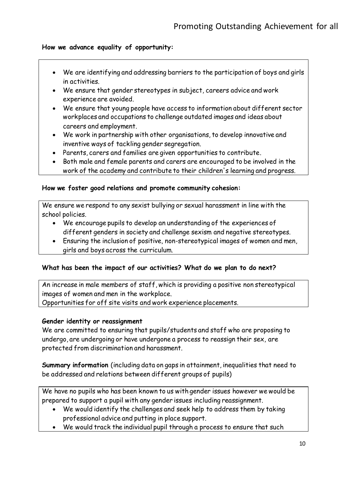## **How we advance equality of opportunity:**

- We are identifying and addressing barriers to the participation of boys and girls in activities.
- We ensure that gender stereotypes in subject, careers advice and work experience are avoided.
- We ensure that young people have access to information about different sector workplaces and occupations to challenge outdated images and ideas about careers and employment.
- We work in partnership with other organisations, to develop innovative and inventive ways of tackling gender segregation.
- Parents, carers and families are given opportunities to contribute.
- Both male and female parents and carers are encouraged to be involved in the work of the academy and contribute to their children's learning and progress.

### **How we foster good relations and promote community cohesion:**

We ensure we respond to any sexist bullying or sexual harassment in line with the school policies.

- We encourage pupils to develop an understanding of the experiences of different genders in society and challenge sexism and negative stereotypes.
- Ensuring the inclusion of positive, non-stereotypical images of women and men, girls and boys across the curriculum.

## **What has been the impact of our activities? What do we plan to do next?**

An increase in male members of staff, which is providing a positive non stereotypical images of women and men in the workplace. Opportunities for off site visits and work experience placements.

#### **Gender identity or reassignment**

We are committed to ensuring that pupils/students and staff who are proposing to undergo, are undergoing or have undergone a process to reassign their sex, are protected from discrimination and harassment.

**Summary information** (including data on gaps in attainment, inequalities that need to be addressed and relations between different groups of pupils)

We have no pupils who has been known to us with gender issues however we would be prepared to support a pupil with any gender issues including reassignment.

- We would identify the challenges and seek help to address them by taking professional advice and putting in place support.
- We would track the individual pupil through a process to ensure that such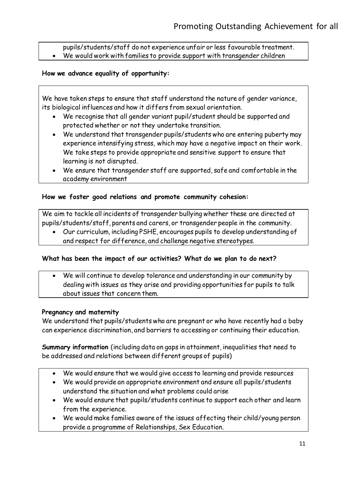pupils/students/staff do not experience unfair or less favourable treatment.

We would work with families to provide support with transgender children

## **How we advance equality of opportunity:**

We have taken steps to ensure that staff understand the nature of gender variance, its biological influences and how it differs from sexual orientation.

- We recognise that all gender variant pupil/student should be supported and protected whether or not they undertake transition.
- We understand that transgender pupils/students who are entering puberty may experience intensifying stress, which may have a negative impact on their work. We take steps to provide appropriate and sensitive support to ensure that learning is not disrupted.
- We ensure that transgender staff are supported, safe and comfortable in the academy environment

## **How we foster good relations and promote community cohesion:**

We aim to tackle all incidents of transgender bullying whether these are directed at pupils/students/staff, parents and carers, or transgender people in the community.

 Our curriculum, including PSHE, encourages pupils to develop understanding of and respect for difference, and challenge negative stereotypes.

## **What has been the impact of our activities? What do we plan to do next?**

 We will continue to develop tolerance and understanding in our community by dealing with issues as they arise and providing opportunities for pupils to talk about issues that concern them.

## **Pregnancy and maternity**

We understand that pupils/students who are pregnant or who have recently had a baby can experience discrimination, and barriers to accessing or continuing their education.

**Summary information** (including data on gaps in attainment, inequalities that need to be addressed and relations between different groups of pupils)

- We would ensure that we would give access to learning and provide resources
- We would provide an appropriate environment and ensure all pupils/students understand the situation and what problems could arise
- We would ensure that pupils/students continue to support each other and learn from the experience.
- We would make families aware of the issues affecting their child/young person provide a programme of Relationships, Sex Education.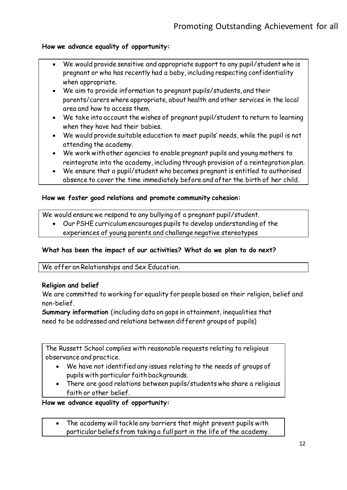## **How we advance equality of opportunity:**

- We would provide sensitive and appropriate support to any pupil/student who is pregnant or who has recently had a baby, including respecting confidentiality when appropriate.
- We aim to provide information to pregnant pupils/students, and their parents/carers where appropriate, about health and other services in the local area and how to access them.
- We take into account the wishes of pregnant pupil/student to return to learning when they have had their babies.
- We would provide suitable education to meet pupils' needs, while the pupil is not attending the academy.
- We work with other agencies to enable pregnant pupils and young mothers to reintegrate into the academy, including through provision of a reintegration plan.
- We ensure that a pupil/student who becomes pregnant is entitled to authorised absence to cover the time immediately before and after the birth of her child.

#### **How we foster good relations and promote community cohesion:**

We would ensure we respond to any bullying of a pregnant pupil/student.

 Our PSHE curriculum encourages pupils to develop understanding of the experiences of young parents and challenge negative stereotypes

#### **What has been the impact of our activities? What do we plan to do next?**

We offer an Relationships and Sex Education.

#### **Religion and belief**

We are committed to working for equality for people based on their religion, belief and non-belief.

**Summary information** (including data on gaps in attainment, inequalities that need to be addressed and relations between different groups of pupils)

The Russett School complies with reasonable requests relating to religious observance and practice.

- We have not identified any issues relating to the needs of groups of pupils with particular faith backgrounds.
- There are good relations between pupils/students who share a religious faith or other belief.

#### **How we advance equality of opportunity:**

 The academy will tackle any barriers that might prevent pupils with particular beliefs from taking a full part in the life of the academy.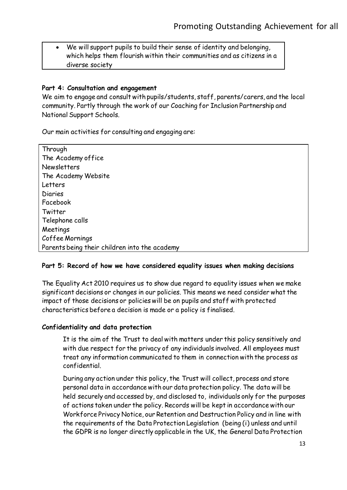We will support pupils to build their sense of identity and belonging, which helps them flourish within their communities and as citizens in a diverse society

#### **Part 4: Consultation and engagement**

We aim to engage and consult with pupils/students, staff, parents/carers, and the local community. Partly through the work of our Coaching for Inclusion Partnership and National Support Schools.

Our main activities for consulting and engaging are:

| Through                                       |
|-----------------------------------------------|
| The Academy office                            |
| <b>Newsletters</b>                            |
| The Academy Website                           |
| Letters                                       |
| <b>Diaries</b>                                |
| Facebook                                      |
| Twitter                                       |
| Telephone calls                               |
| Meetings                                      |
| Coffee Mornings                               |
| Parents being their children into the academy |

#### **Part 5: Record of how we have considered equality issues when making decisions**

The Equality Act 2010 requires us to show due regard to equality issues when we make significant decisions or changes in our policies. This means we need consider what the impact of those decisions or policies will be on pupils and staff with protected characteristics before a decision is made or a policy is finalised.

#### **Confidentiality and data protection**

It is the aim of the Trust to deal with matters under this policy sensitively and with due respect for the privacy of any individuals involved. All employees must treat any information communicated to them in connection with the process as confidential.

During any action under this policy, the Trust will collect, process and store personal data in accordance with our data protection policy. The data will be held securely and accessed by, and disclosed to, individuals only for the purposes of actions taken under the policy. Records will be kept in accordance with our Workforce Privacy Notice, our Retention and Destruction Policy and in line with the requirements of the Data Protection Legislation (being (i) unless and until the GDPR is no longer directly applicable in the UK, the General Data Protection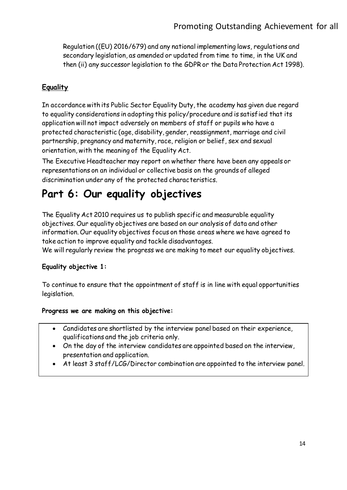Regulation ((EU) 2016/679) and any national implementing laws, regulations and secondary legislation, as amended or updated from time to time, in the UK and then (ii) any successor legislation to the GDPR or the Data Protection Act 1998).

## **Equality**

In accordance with its Public Sector Equality Duty, the academy has given due regard to equality considerations in adopting this policy/procedure and is satisfied that its application will not impact adversely on members of staff or pupils who have a protected characteristic (age, disability, gender, reassignment, marriage and civil partnership, pregnancy and maternity, race, religion or belief, sex and sexual orientation, with the meaning of the Equality Act.

The Executive Headteacher may report on whether there have been any appeals or representations on an individual or collective basis on the grounds of alleged discrimination under any of the protected characteristics.

# **Part 6: Our equality objectives**

The Equality Act 2010 requires us to publish specific and measurable equality objectives. Our equality objectives are based on our analysis of data and other information. Our equality objectives focus on those areas where we have agreed to take action to improve equality and tackle disadvantages.

We will regularly review the progress we are making to meet our equality objectives.

## **Equality objective 1:**

To continue to ensure that the appointment of staff is in line with equal opportunities legislation.

## **Progress we are making on this objective:**

- Candidates are shortlisted by the interview panel based on their experience, qualifications and the job criteria only.
- On the day of the interview candidates are appointed based on the interview, presentation and application.
- At least 3 staff/LCG/Director combination are appointed to the interview panel.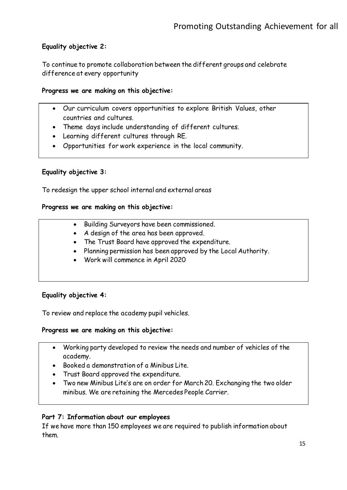## **Equality objective 2:**

To continue to promote collaboration between the different groups and celebrate difference at every opportunity

### **Progress we are making on this objective:**

- Our curriculum covers opportunities to explore British Values, other countries and cultures.
- Theme days include understanding of different cultures.
- Learning different cultures through RE.
- Opportunities for work experience in the local community.

## **Equality objective 3:**

To redesign the upper school internal and external areas

### **Progress we are making on this objective:**

- Building Surveyors have been commissioned.
- A design of the area has been approved.
- The Trust Board have approved the expenditure.
- Planning permission has been approved by the Local Authority.
- Work will commence in April 2020

## **Equality objective 4:**

To review and replace the academy pupil vehicles.

#### **Progress we are making on this objective:**

- Working party developed to review the needs and number of vehicles of the academy.
- Booked a demonstration of a Minibus Lite.
- Trust Board approved the expenditure.
- Two new Minibus Lite's are on order for March 20. Exchanging the two older minibus. We are retaining the Mercedes People Carrier.

## **Part 7: Information about our employees**

If we have more than 150 employees we are required to publish information about them.